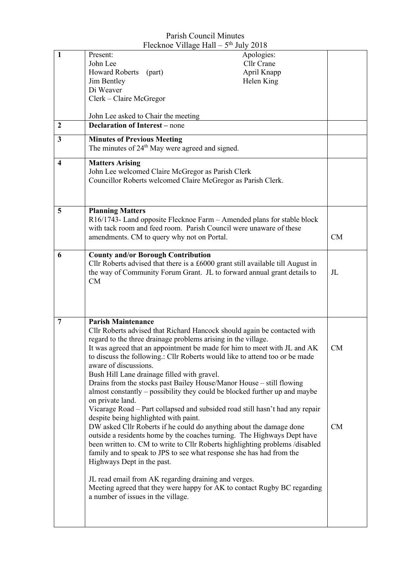|                         | $\Gamma$ IUUMIIOU VIIIARU IIAII $\Gamma$                                                                                                                | $July$ $2010$ |             |
|-------------------------|---------------------------------------------------------------------------------------------------------------------------------------------------------|---------------|-------------|
| $\mathbf{1}$            | Present:                                                                                                                                                | Apologies:    |             |
|                         | John Lee                                                                                                                                                | Cllr Crane    |             |
|                         | <b>Howard Roberts</b><br>(part)                                                                                                                         | April Knapp   |             |
|                         | Jim Bentley                                                                                                                                             | Helen King    |             |
|                         | Di Weaver                                                                                                                                               |               |             |
|                         | Clerk - Claire McGregor                                                                                                                                 |               |             |
|                         |                                                                                                                                                         |               |             |
|                         | John Lee asked to Chair the meeting                                                                                                                     |               |             |
| $\boldsymbol{2}$        | <b>Declaration of Interest</b> – none                                                                                                                   |               |             |
| $\mathbf{3}$            | <b>Minutes of Previous Meeting</b>                                                                                                                      |               |             |
|                         | The minutes of 24 <sup>th</sup> May were agreed and signed.                                                                                             |               |             |
|                         |                                                                                                                                                         |               |             |
| $\overline{\mathbf{4}}$ | <b>Matters Arising</b>                                                                                                                                  |               |             |
|                         | John Lee welcomed Claire McGregor as Parish Clerk<br>Councillor Roberts welcomed Claire McGregor as Parish Clerk.                                       |               |             |
|                         |                                                                                                                                                         |               |             |
|                         |                                                                                                                                                         |               |             |
|                         |                                                                                                                                                         |               |             |
| 5                       | <b>Planning Matters</b>                                                                                                                                 |               |             |
|                         | R16/1743- Land opposite Flecknoe Farm – Amended plans for stable block                                                                                  |               |             |
|                         | with tack room and feed room. Parish Council were unaware of these                                                                                      |               |             |
|                         | amendments. CM to query why not on Portal.                                                                                                              |               | CM          |
|                         |                                                                                                                                                         |               |             |
| 6                       | <b>County and/or Borough Contribution</b>                                                                                                               |               |             |
|                         | Cllr Roberts advised that there is a £6000 grant still available till August in                                                                         |               |             |
|                         | the way of Community Forum Grant. JL to forward annual grant details to                                                                                 |               | $J_{\rm L}$ |
|                         | CM                                                                                                                                                      |               |             |
|                         |                                                                                                                                                         |               |             |
|                         |                                                                                                                                                         |               |             |
|                         |                                                                                                                                                         |               |             |
| $\overline{7}$          | <b>Parish Maintenance</b>                                                                                                                               |               |             |
|                         |                                                                                                                                                         |               |             |
|                         | Cllr Roberts advised that Richard Hancock should again be contacted with                                                                                |               |             |
|                         | regard to the three drainage problems arising in the village.                                                                                           |               |             |
|                         | It was agreed that an appointment be made for him to meet with JL and AK<br>to discuss the following.: Cllr Roberts would like to attend too or be made |               | <b>CM</b>   |
|                         |                                                                                                                                                         |               |             |
|                         | aware of discussions.                                                                                                                                   |               |             |
|                         | Bush Hill Lane drainage filled with gravel.                                                                                                             |               |             |
|                         | Drains from the stocks past Bailey House/Manor House – still flowing<br>almost constantly - possibility they could be blocked further up and maybe      |               |             |
|                         | on private land.                                                                                                                                        |               |             |
|                         | Vicarage Road - Part collapsed and subsided road still hasn't had any repair                                                                            |               |             |
|                         | despite being highlighted with paint.                                                                                                                   |               |             |
|                         | DW asked Cllr Roberts if he could do anything about the damage done                                                                                     |               | CM          |
|                         | outside a residents home by the coaches turning. The Highways Dept have                                                                                 |               |             |
|                         | been written to. CM to write to Cllr Roberts highlighting problems /disabled                                                                            |               |             |
|                         | family and to speak to JPS to see what response she has had from the                                                                                    |               |             |
|                         | Highways Dept in the past.                                                                                                                              |               |             |
|                         |                                                                                                                                                         |               |             |
|                         | JL read email from AK regarding draining and verges.                                                                                                    |               |             |
|                         |                                                                                                                                                         |               |             |
|                         | Meeting agreed that they were happy for AK to contact Rugby BC regarding<br>a number of issues in the village.                                          |               |             |
|                         |                                                                                                                                                         |               |             |
|                         |                                                                                                                                                         |               |             |
|                         |                                                                                                                                                         |               |             |
|                         |                                                                                                                                                         |               |             |

## Parish Council Minutes Flecknoe Village Hall –  $5<sup>th</sup>$  July 2018